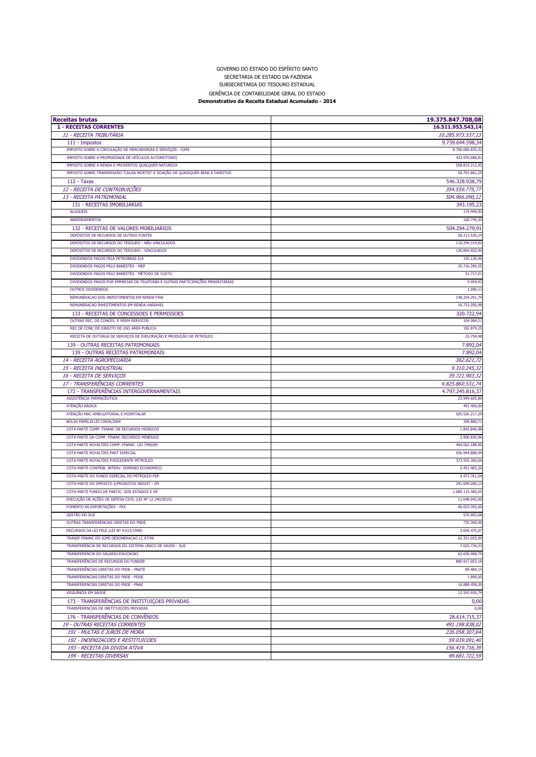## **Receitas brutas 19.375.847.708,08 1 - RECEITAS CORRENTES 16.511.953.543,14** 11 - RECEITA TRIBUTÁRIA 10.285.973.537,13 111 - Impostos 9.739.644.598,34 IMPOSTO SOBRE A CIRCULAÇÃO DE MERCADORIAS E SERVIÇOS - ICMS 8.706.066.835,32 IMPOSTO SOBRE A PROPRIEDADE DE VEÍCULOS AUTOMOTORES 423.970.688,81 IMPOSTO SOBRE A RENDA E PROVENTOS QUALQUER NATUREZA 558.815.212,92 IMPOSTO SOBRE TRANSMISSÃO "CAUSA MORTIS" E DOAÇÃO DE QUAISQUER BENS E DIREITOS 50.791.861,29 112 - Taxas 546.328.938,79 12 - RECEITA DE CONTRIBUIÇÕES 354.559.775,77 13 - RECEITA PATRIMONIAL 504.966.090,12 131 - RECEITAS IMOBILIARIAS 343.195,23<br>174.449,93 ALUGUEIS 174.449,93 ARRENDAMENTOS 168.745,30 132 - RECEITAS DE VALORES MOBILIARIOS 504.294.279,91 DEPÓSITOS DE RECURSOS DE OUTRAS FONTES 56.213.530,34 DEPÓSITOS DE RECURSOS DO TESOURO - NÃO VINCULADOS **116.294.319,82** DEPÓSITOS DE RECURSOS DO TESOURO - VINCULADOS 136.864.602,500 PERSONAL EN EL ENTRE EN EL ENTRE EN EL ENTRE EN EL ENTRE EN EL ENTRE EN EL ENTRE EN EL ENTRE EN EL ENTRE EN EL ENTRE EN EL ENTRE EN EL ENTRE EN EL ENTRE EN ENFE DIVIDENDOS PAGOS PELA PETROBRÁS S/A 155.120,46 nt DIVIDENDOS PAGOS PELO BANESTES - MEP 35.716.395, SOLO BANESTES - MEP 35.716.395, SOLO BANESTES - MEP 35.716.395, DIVIDENDOS PAGOS PELO BANESTES - MÉTODO DE CUSTO CONTRADO DE CUSTO CONTRADO EL CONTRADO DE CUSTO CONTRADO DE CUSTO CONTRADO DE CUSTO CONTRADO DE CUSTO CONTRADO DE CUSTO CONTRADO DE CUSTO CONTRADO DE CUSTO CONTRADO DE CUSTO DIVIDENDOS PAGOS POR EMPRESAS DE TELEFONIA E OUTRAS PARTICIPAÇÕES MINORITÁRIAS **9.954,934,934,934,934,934,934,934**  OUTROS DIVIDENDOS 1.096,13 REMUNERACAO DOS INVESTIMENTOS EM RENDA FIXA 148.254.291, 148.254.291, 148.254.291, 148.254.291, 148.254.291, 1 REMUNERACAO INVESTIMENTOS EM RENDA VARIAVEL 10.733.250, 10.733.250, 10.733.250, 10.733.250, 10.733.250, 10.733 133 - RECEITAS DE CONCESSOES E PERMISSOES 320.722,94 OUTRAS REC. DE CONCES. E PERM-SERVICOS **104.084,2** REC DE CONC DE DIREITO DE USO AREA PUBLICA **182.879, 192.879, 192.879, 192.879, 192.879, 192.879, 192.879, 192.879, 192.879, 192.879, 192.879, 192.879, 192.879, 192.879, 192.879, 192.879, 192.879, 192.879, 192.879, 192.879** RECEITA DE OUTORGA DE SERVIÇOS DE EXPLORAÇÃO E PRODUÇÃO DE PETRÓLEO **1999 - A CONSTANTA EXPLORAÇÃO E PRODUÇÃO DE**  139 - OUTRAS RECEITAS PATRIMONIAIS 7.892,04 139 - OUTRAS RECEITAS PATRIMONIAIS 7.892,04 14 - RECEITA AGROPECUÁRIA 362.621,72 15 - RECEITA INDUSTRIAL 9.310.245,32 16 - RECEITA DE SERVIÇOS 39.721.903,32 17 - TRANSFERÊNCIAS CORRENTES 4.825.860.531,74 172 - TRANSFERÊNCIAS INTERGOVERNAMENTAIS 4.797.245.816,37<br>ASSISTÊNCIA ERDMACÊLITICA ASSISTÊNCIA FARMACÊUTICA 23.994.605,80 ATENÇÃO BÁSICA 491.400,00 animal de service de la construction de la construction de la construction de la construction de la construction de la construction de la construction de la construction de la construction de la c ATENÇÃO MAC AMBULATORIAL E HOSPITALAR 505.526.217, BOLSA FAMILIA LEI 10836/2004 359.880, COTA PARTE COMP. FINANC DE RECURSOS HIDRICOS **1.843.846, en el establista de la contrada de la contrada de la contrada de la contrada de la contrada de la contrada de la contrada de la contrada de la contrada de la contrad** COTA PARTE DA COMP. FINANC RECURSOS MINERAIS 2.900.830, COTA PARTE ROYALTIES COMP. FINANC. LEI 7990/89 464.062.188, COTA PARTE ROYALTIES PART ESPECIAL 936.944.888,99 COTA PARTE ROYALTIES P/EXCEDENTE PETROLEO 373.555.300,66 COTA-PARTE CONTRIB. INTERV. DOMINIO ECONOMICO 2.451.483,26 COTA-PARTE DO FUNDO ESPECIAL DO PETROLEO-FEP 4.473.761,04 COTA-PARTE DO IMPOSTO S/PRODUTOS INDUST - IPI 241.699.206.1 **Demonstrativo da Receita Estadual Acumulado - 2014**

COTA-PARTE FUNDO DE PARTIC. DOS ESTADOS E DF  $1.089.115.460$ , EXECUÇÃO DE AÇÕES DE DEFESA CIVIL (LEI Nº 12.340/2010) 11.648.042,(EI Nº 12.340/2010) 11.648.042,(EI Nº 12.340/2010) FOMENTO ÀS EXPORTAÇÕES - FEX 90.653.355,000 ESTERNATO A CHARGE E A CHARGE E A CHARGE E A CHARGE E A CHARGE E A CHARGE E A CHARGE E A CHARGE E A CHARGE E A CHARGE E A CHARGE E A CHARGE E A CHARGE E A CHARGE E A CHARGE E A C GESTÃO DO SUS 570.002,68 OUTRAS TRANSFERENCIAS DIRETAS DO FNDE 735.300,00 RECURSOS DA LEI PELE (LEI Nº 9.615/1998) 3.695.475,0 TRANSF FINANC DO ICMS DESONERACAO LC 87/96 62.351.055,00 TRANSFERÊNCIA DE RECURSOS DO SISTEMA ÚNICO DE SAÚDE - SUS 7.025.734,33 TRANSFERENCIA DO SALARIO-EDUCACAO 62.656.968,79 TRANSFERÊNCIAS DE RECURSOS DO FUNDEB **1999 - 1999 - 1999 - 1999 - 1999 - 1999 - 1999 - 1999 - 1999 - 1999 - 1999 - 1999 - 1999 - 1999 - 1999 - 1999 - 1999 - 1999 - 1999 - 1999 - 1999 - 1999 - 1999 - 1999 - 1999 - 1999 - 19** TRANSFERÊNCIAS DIRETAS DO FNDE - PNATE RECEPTIVOS DE SUBSIDIRETAS DE SUBSIDIRETAS DE SUBSIDIRETAS DO FNDE - PNATE RECEPTIVOS DE SUBSIDIRETAS DO FNDE - PNATE RECEPTIVOS DE SUBSIDIRETAS DO FNDE - PNATE RECEPTIVOS DE SUBSIDIR TRANSFERENCIAS DIRETAS DO FNDE - PDDE 1.890. TRANSFERENCIAS DIRETAS DO FNDE - PNAE 16.888.458,00 VIGILÂNCIA EM SAÚDE 12.593.926,74 173 - TRANSFERÊNCIAS DE INSTITUIÇOES PRIVADAS 0,000 ENSTITUIÇOES PRIVADAS 0,000 ENSTITUIÇOES PRIVADAS 0,000 EN TRANSFERENCIAS DE INSTITUICOES PRIVADAS 0,00 176 - TRANSFERÊNCIAS DE CONVÊNIOS 28.614.715,37 19 - OUTRAS RECEITAS CORRENTES 491.198.838,02 191 - MULTAS E JUROS DE MORA 226.058.307,64 192 - INDENIZACOES E RESTITUICOES 59.039.091,40 193 - RECEITA DA DIVIDA ATIVA 156.419.716,39 199 - RECEITAS DIVERSAS 49.681.722,59

SECRETARIA DE ESTADO DA FAZENDA SUBSECRETARIA DO TESOURO ESTADUAL GERÊNCIA DE CONTABILIDADE GERAL DO ESTADO

GOVERNO DO ESTADO DO ESPÍRITO SANTO